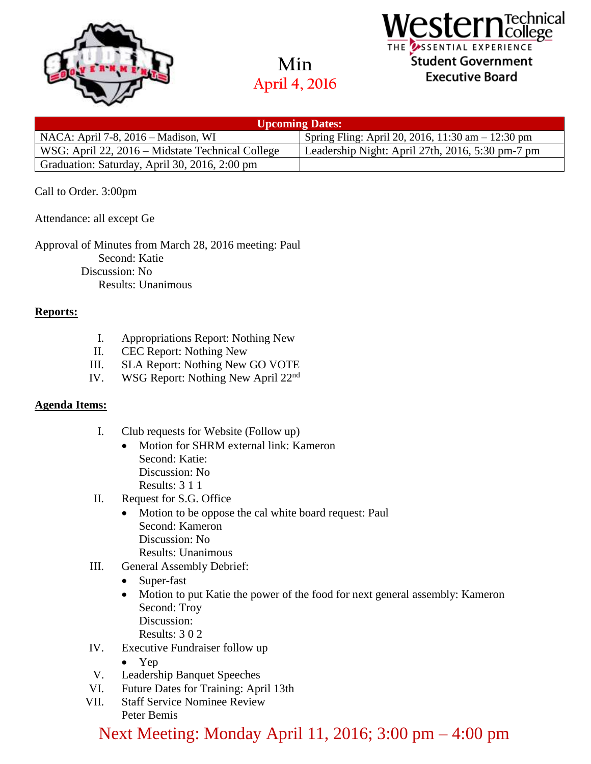

**Min April 4, 2016**



| <b>Upcoming Dates:</b>                           |                                                     |
|--------------------------------------------------|-----------------------------------------------------|
| NACA: April 7-8, 2016 – Madison, WI              | Spring Fling: April 20, 2016, 11:30 am $-$ 12:30 pm |
| WSG: April 22, 2016 – Midstate Technical College | Leadership Night: April 27th, 2016, 5:30 pm-7 pm    |
| Graduation: Saturday, April 30, 2016, 2:00 pm    |                                                     |

## Call to Order. 3:00pm

Attendance: all except Ge

Approval of Minutes from March 28, 2016 meeting: Paul Second: Katie Discussion: No Results: Unanimous

### **Reports:**

- I. Appropriations Report: Nothing New
- II. CEC Report: Nothing New
- III. SLA Report: Nothing New GO VOTE
- IV. WSG Report: Nothing New April 22nd

### **Agenda Items:**

- I. Club requests for Website (Follow up)
	- Motion for SHRM external link: Kameron Second: Katie: Discussion: No Results: 3 1 1
- II. Request for S.G. Office
	- Motion to be oppose the cal white board request: Paul Second: Kameron Discussion: No Results: Unanimous
- III. General Assembly Debrief:
	- Super-fast
	- Motion to put Katie the power of the food for next general assembly: Kameron Second: Troy Discussion:
		- Results: 3 0 2
- IV. Executive Fundraiser follow up
	- Yep
- V. Leadership Banquet Speeches
- VI. Future Dates for Training: April 13th
- VII. Staff Service Nominee Review Peter Bemis

Next Meeting: Monday April 11, 2016; 3:00 pm – 4:00 pm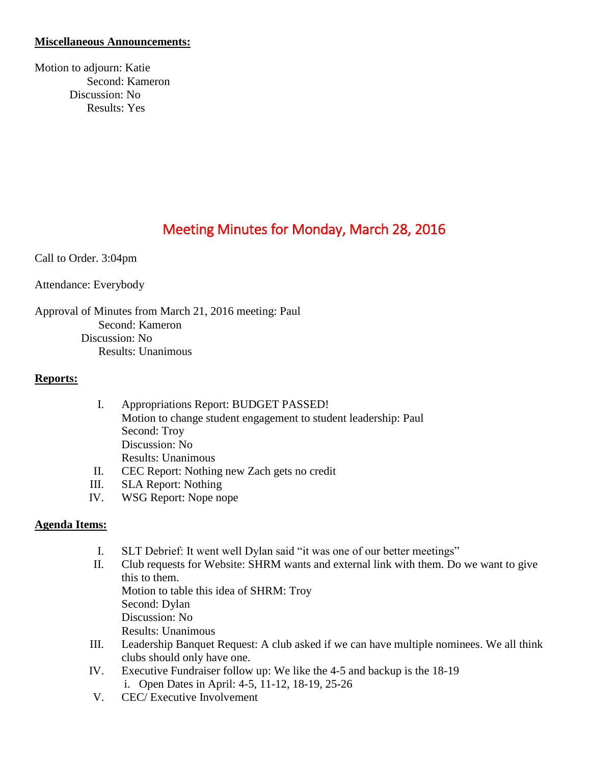## **Miscellaneous Announcements:**

Motion to adjourn: Katie Second: Kameron Discussion: No Results: Yes

# Meeting Minutes for Monday, March 28, 2016

Call to Order. 3:04pm

Attendance: Everybody

Approval of Minutes from March 21, 2016 meeting: Paul Second: Kameron Discussion: No Results: Unanimous

### **Reports:**

| $\mathbf{I}$ . | Appropriations Report: BUDGET PASSED!                           |  |
|----------------|-----------------------------------------------------------------|--|
|                | Motion to change student engagement to student leadership: Paul |  |
|                | Second: Troy                                                    |  |
|                | Discussion: No                                                  |  |
|                | <b>Results: Unanimous</b>                                       |  |
| П.             | CEC Report: Nothing new Zach gets no credit                     |  |
|                | $CI \wedge$ Panort: Nothing                                     |  |

- III. SLA Report: Nothing
- IV. WSG Report: Nope nope

# **Agenda Items:**

- I. SLT Debrief: It went well Dylan said "it was one of our better meetings"
- II. Club requests for Website: SHRM wants and external link with them. Do we want to give this to them.
	- Motion to table this idea of SHRM: Troy Second: Dylan
	- Discussion: No
	- Results: Unanimous
- III. Leadership Banquet Request: A club asked if we can have multiple nominees. We all think clubs should only have one.
- IV. Executive Fundraiser follow up: We like the 4-5 and backup is the 18-19 i. Open Dates in April: 4-5, 11-12, 18-19, 25-26
- V. CEC/ Executive Involvement